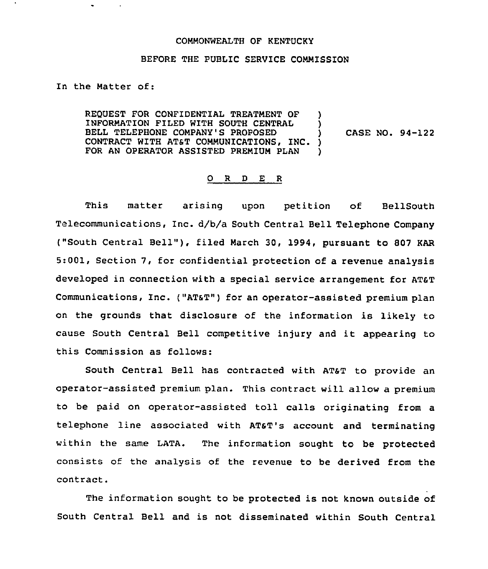## COMMONWEALTH OF KENTUCKY

## BEFORE THE PUBLIC SERVICE COMMISSION

## In the Matter of:

REQUEST FOR CONFIDENTIAL TREATMENT OF INFORMATION FILED WITH SOUTH CENTRAL BELL TELEPHONE COMPANY'S PROPOSED CONTRACT WITH AT&T COMMUNICATIONS, INC. FOR AN OPERATOR ASSISTED PREMIUM PLAN ) ) ) CASE NO. 94-122 ) )

## O R D E R

This matter arising upon petition of BellSouth Telecommunications, Inc. d/b/a South Central Bell Telephone Company ("South Central Bell"), filed March 30, 1994, pursuant to 807 KAR 5:001, Section 7, for confidential protection of a revenue analysis developed in connection with a special service arrangement for AT&T Communications, Inc. ("AT&T") for an operator-assisted premium plan on the grounds that disclosure of the information is likely to cause South Central Bell competitive injury and it appearing to this Commission as follows:

South Central Bell has contracted with ATST to provide an operator-assisted premium plan. This contract will allow a premium to be paid on operator-assisted toll calls originating from a telephone line associated with ATST's account and terminating within the same LATA. The information sought to be protected consists of the analysis of the revenue to be derived from the contract.

The information sought to be protected is not known outside of South Central Bell and is not disseminated within South Central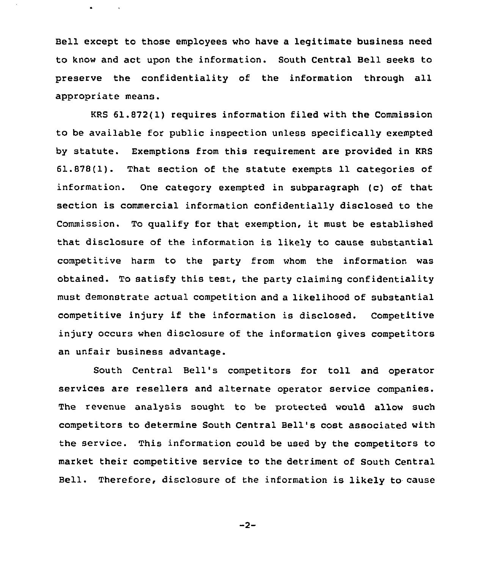Bell except to those employees who have a legitimate business need to know and act upon the information. South Central Bell seeks to preserve the confidentiality of the information through all appropriate means.

KRS 61.872(1) requires information filed with the Commission to be available for public inspection unless specifically exempted by statute. Exemptions from this requirement are provided in KRS 61.878(1). That section of the statute exempts 11 categories of information. One category exempted in subparagraph (c) of that section is commercial information confidentially disclosed to the Commission. To qualify for that exemption, it must be established that disclosure of the information is likely to cause substantial competitive harm to the party from whom the information was obtained. To satisfy this test, the party claiming confidentiality must demonstrate actual competition and a likelihood of substantial competitive injury if the information is disclosed. Competitive injury occurs when disclosure of the information gives competitors an unfair business advantage.

South Central Bell's competitors for toll and operator services are resellers and alternate operator service companies. The revenue analysis sought to be protected would allow such competitors to determine South Central Bell's cost associated with the service. This information could be used by the competitors to market their competitive service to the detriment of South Central Bell. Therefore, disclosure of the information is likely to cause

 $-2-$